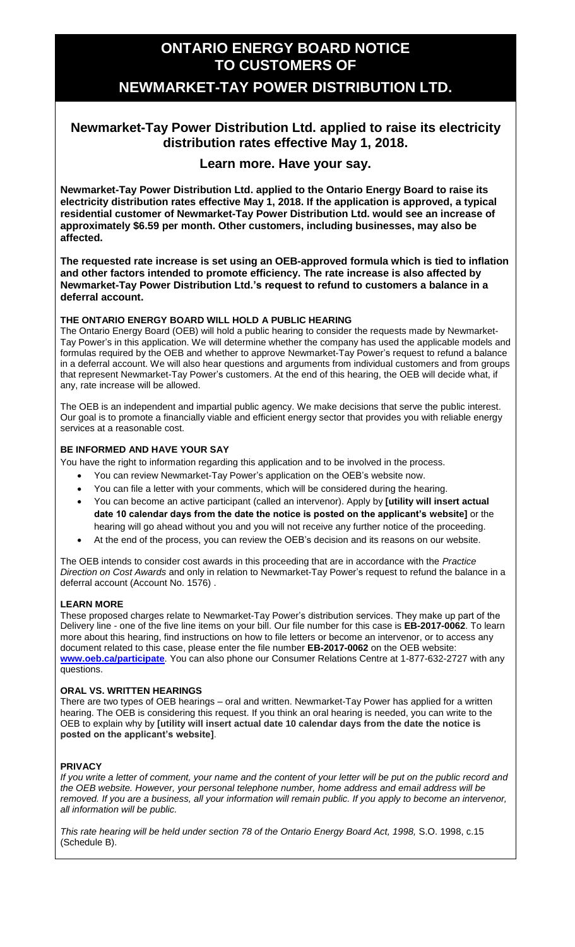# **ONTARIO ENERGY BOARD NOTICE TO CUSTOMERS OF**

## **NEWMARKET-TAY POWER DISTRIBUTION LTD.**

### **Newmarket-Tay Power Distribution Ltd. applied to raise its electricity distribution rates effective May 1, 2018.**

### **Learn more. Have your say.**

**Newmarket-Tay Power Distribution Ltd. applied to the Ontario Energy Board to raise its electricity distribution rates effective May 1, 2018. If the application is approved, a typical residential customer of Newmarket-Tay Power Distribution Ltd. would see an increase of approximately \$6.59 per month. Other customers, including businesses, may also be affected.**

**The requested rate increase is set using an OEB-approved formula which is tied to inflation and other factors intended to promote efficiency. The rate increase is also affected by Newmarket-Tay Power Distribution Ltd.'s request to refund to customers a balance in a deferral account.**

#### **THE ONTARIO ENERGY BOARD WILL HOLD A PUBLIC HEARING**

The Ontario Energy Board (OEB) will hold a public hearing to consider the requests made by Newmarket-Tay Power's in this application. We will determine whether the company has used the applicable models and formulas required by the OEB and whether to approve Newmarket-Tay Power's request to refund a balance in a deferral account. We will also hear questions and arguments from individual customers and from groups that represent Newmarket-Tay Power's customers. At the end of this hearing, the OEB will decide what, if any, rate increase will be allowed.

The OEB is an independent and impartial public agency. We make decisions that serve the public interest. Our goal is to promote a financially viable and efficient energy sector that provides you with reliable energy services at a reasonable cost.

#### **BE INFORMED AND HAVE YOUR SAY**

You have the right to information regarding this application and to be involved in the process.

- You can review Newmarket-Tay Power's application on the OEB's website now.
- You can file a letter with your comments, which will be considered during the hearing.
- You can become an active participant (called an intervenor). Apply by **[utility will insert actual date 10 calendar days from the date the notice is posted on the applicant's website]** or the hearing will go ahead without you and you will not receive any further notice of the proceeding.
- At the end of the process, you can review the OEB's decision and its reasons on our website.

The OEB intends to consider cost awards in this proceeding that are in accordance with the *Practice Direction on Cost Awards* and only in relation to Newmarket-Tay Power's request to refund the balance in a deferral account (Account No. 1576) .

#### **LEARN MORE**

These proposed charges relate to Newmarket-Tay Power's distribution services. They make up part of the Delivery line - one of the five line items on your bill. Our file number for this case is EB-2017-0062. To learn more about this hearing, find instructions on how to file letters or become an intervenor, or to access any document related to this case, please enter the file number **EB-2017-0062** on the OEB website: **[www.oeb.ca/participate](http://www.oeb.ca/participate)**. You can also phone our Consumer Relations Centre at 1-877-632-2727 with any questions.

#### **ORAL VS. WRITTEN HEARINGS**

There are two types of OEB hearings – oral and written. Newmarket-Tay Power has applied for a written hearing. The OEB is considering this request. If you think an oral hearing is needed, you can write to the OEB to explain why by **[utility will insert actual date 10 calendar days from the date the notice is posted on the applicant's website]**.

#### **PRIVACY**

*If you write a letter of comment, your name and the content of your letter will be put on the public record and the OEB website. However, your personal telephone number, home address and email address will be removed. If you are a business, all your information will remain public. If you apply to become an intervenor, all information will be public.* 

*This rate hearing will be held under section 78 of the Ontario Energy Board Act, 1998,* S.O. 1998, c.15 (Schedule B).